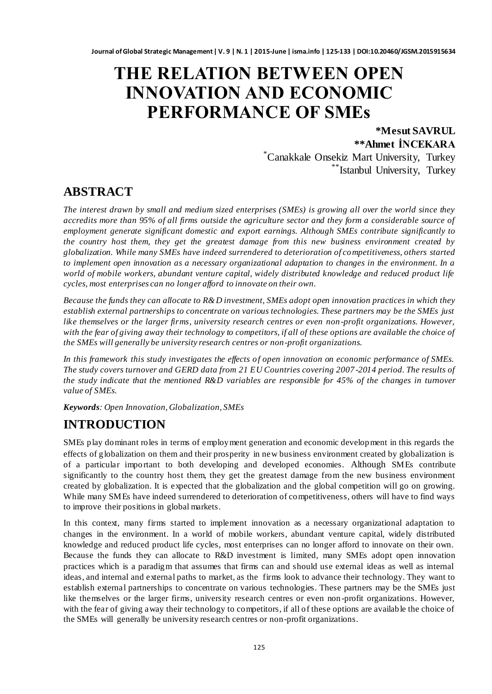# **THE RELATION BETWEEN OPEN INNOVATION AND ECONOMIC PERFORMANCE OF SMEs**

**\*Mesut SAVRUL \*\*Ahmet İNCEKARA**

\*Canakkale Onsekiz Mart University, Turkey \*\*Istanbul University, Turkey

# **ABSTRACT**

*The interest drawn by small and medium sized enterprises (SMEs) is growing all over the world since they accredits more than 95% of all firms outside the agriculture sector and they form a considerable source of employment generate significant domestic and export earnings. Although SMEs contribute significantly to the country host them, they get the greatest damage from this new business environment created by globalization. While many SMEs have indeed surrendered to deterioration of competitiveness, others started to implement open innovation as a necessary organizational adaptation to changes in the environment. In a world of mobile workers, abundant venture capital, widely distributed knowledge and reduced product life cycles, most enterprises can no longer afford to innovate on their own.*

*Because the funds they can allocate to R&D investment, SMEs adopt open innovation practices in which they establish external partnerships to concentrate on various technologies. These partners may be the SMEs just like themselves or the larger firms, university research centres or even non -profit organizations. However,*  with the fear of giving away their technology to competitors, if all of these options are available the choice of *the SMEs will generally be university research centres or non-profit organizations.* 

*In this framework this study investigates the effects of open innovation on economic performance of SMEs. The study covers turnover and GERD data from 21 EU Countries covering 2007 -2014 period. The results of the study indicate that the mentioned R&D variables are responsible for 45% of the changes in turnover value of SMEs.*

*Keywords: Open Innovation, Globalization, SMEs*

# **INTRODUCTION**

SMEs play dominant roles in terms of employment generation and economic development in this regards the effects of globalization on them and their prosperity in new business environment created by globalization is of a particular important to both developing and developed economies. Although SMEs contribute significantly to the country host them, they get the greatest damage from the new business environment created by globalization. It is expected that the globalization and the global competition will go on growing. While many SMEs have indeed surrendered to deterioration of competitiveness, others will have to find ways to improve their positions in global markets.

In this context, many firms started to implement innovation as a necessary organizational adaptation to changes in the environment. In a world of mobile workers, abundant venture capital, widely distributed knowledge and reduced product life cycles, most enterprises can no longer afford to innovate on their own. Because the funds they can allocate to R&D investment is limited, many SMEs adopt open innovation practices which is a paradigm that assumes that firms can and should use external ideas as well as internal ideas, and internal and external paths to market, as the firms look to advance their technology. They want to establish external partnerships to concentrate on various technologies. These partners may be the SMEs just like themselves or the larger firms, university research centres or even non-profit organizations. However, with the fear of giving away their technology to competitors, if all of these options are available the choice of the SMEs will generally be university research centres or non-profit organizations.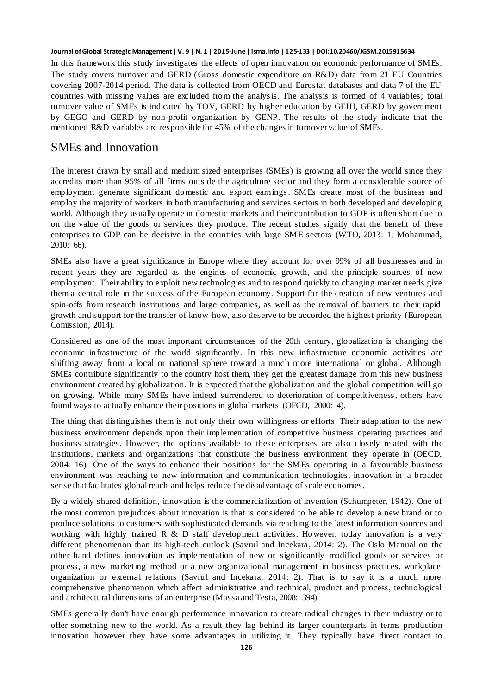In this framework this study investigates the effects of open innovation on economic performance of SMEs. The study covers turnover and GERD (Gross domestic expenditure on R&D) data from 21 EU Countries covering 2007-2014 period. The data is collected from OECD and Eurostat databases and data 7 of the EU countries with missing values are excluded from the analysis. The analysis is formed of 4 variables; total turnover value of SMEs is indicated by TOV, GERD by higher education by GEHI, GERD by government by GEGO and GERD by non-profit organization by GENP. The results of the study indicate that the mentioned R&D variables are responsible for 45% of the changes in turnover value of SMEs.

### SMEs and Innovation

The interest drawn by small and medium sized enterprises (SMEs) is growing all over the world since they accredits more than 95% of all firms outside the agriculture sector and they form a considerable source of employment generate significant domestic and export earnings. SMEs create most of the business and employ the majority of workers in both manufacturing and services sectors in both developed and developing world. Although they usually operate in domestic markets and their contribution to GDP is often short due to on the value of the goods or services they produce. The recent studies signify that the benefit of these enterprises to GDP can be decisive in the countries with large SME sectors (WTO, 2013: 1; Mohammad, 2010: 66).

SMEs also have a great significance in Europe where they account for over 99% of all businesses and in recent years they are regarded as the engines of economic growth, and the principle sources of new employment. Their ability to exploit new technologies and to respond quickly to changing market needs give them a central role in the success of the European economy. Support for the creation of new ventures and spin-offs from research institutions and large companies, as well as the removal of barriers to their rapid growth and support for the transfer of know-how, also deserve to be accorded the highest priority (European Comission, 2014).

Considered as one of the most important circumstances of the 20th century, globalization is changing the economic infrastructure of the world significantly. In this new infrastructure economic activities are shifting away from a local or national sphere toward a much more international or global. Although SMEs contribute significantly to the country host them, they get the greatest damage from this new business environment created by globalization. It is expected that the globalization and the global competition will go on growing. While many SMEs have indeed surrendered to deterioration of competitiveness, others have found ways to actually enhance their positions in global markets (OECD, 2000: 4).

The thing that distinguishes them is not only their own willingness or efforts. Their adaptation to the new business environment depends upon their implementation of competitive business operating practices and business strategies. However, the options available to these enterprises are also closely related with the institutions, markets and organizations that constitute the business environment they operate in (OECD, 2004: 16). One of the ways to enhance their positions for the SMEs operating in a favourable business environment was reaching to new information and communication technologies, innovation in a broader sense that facilitates global reach and helps reduce the disadvantage of scale economies.

By a widely shared definition, innovation is the commercialization of invention (Schumpeter, 1942). One of the most common prejudices about innovation is that is considered to be able to develop a new brand or to produce solutions to customers with sophisticated demands via reaching to the latest information sources and working with highly trained R  $\&$  D staff development activities. However, today innovation is a very different phenomenon than its high-tech outlook (Savrul and Incekara, 2014: 2). The Oslo Manual on the other hand defines innovation as implementation of new or significantly modified goods or services or process, a new marketing method or a new organizational management in business practices, workplace organization or external relations (Savrul and Incekara, 2014: 2). That is to say it is a much more comprehensive phenomenon which affect administrative and technical, product and process, technological and architectural dimensions of an enterprise (Massa and Testa, 2008: 394).

SMEs generally don't have enough performance innovation to create radical changes in their industry or to offer something new to the world. As a result they lag behind its larger counterparts in terms production innovation however they have some advantages in utilizing it. They typically have direct contact to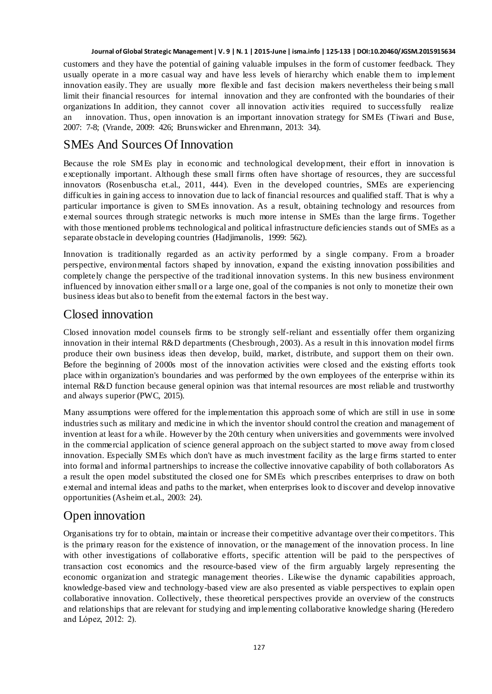customers and they have the potential of gaining valuable impulses in the form of customer feedback. They usually operate in a more casual way and have less levels of hierarchy which enable them to implement innovation easily. They are usually more flexible and fast decision makers nevertheless their being s mall limit their financial resources for internal innovation and they are confronted with the boundaries of their organizations In addition, they cannot cover all innovation activities required to successfully realize an innovation. Thus, open innovation is an important innovation strategy for SMEs (Tiwari and Buse, 2007: 7-8; (Vrande, 2009: 426; Brunswicker and Ehrenmann, 2013: 34).

# SMEs And Sources Of Innovation

Because the role SMEs play in economic and technological development, their effort in innovation is exceptionally important. Although these small firms often have shortage of resources, they are successful innovators (Rosenbuscha et.al., 2011, 444). Even in the developed countries, SMEs are experiencing difficulties in gaining access to innovation due to lack of financial resources and qualified staff. That is why a particular importance is given to SMEs innovation. As a result, obtaining technology and resources from external sources through strategic networks is much more intense in SMEs than the large firms. Together with those mentioned problems technological and political infrastructure deficiencies stands out of SMEs as a separate obstacle in developing countries (Hadjimanolis, 1999: 562).

Innovation is traditionally regarded as an activity performed by a single company. From a broader perspective, environmental factors shaped by innovation, expand the existing innovation possibilities and completely change the perspective of the traditional innovation systems. In this new business environment influenced by innovation either small or a large one, goal of the companies is not only to monetize their own business ideas but also to benefit from the external factors in the best way.

## Closed innovation

Closed innovation model counsels firms to be strongly self-reliant and essentially offer them organizing innovation in their internal R&D departments (Chesbrough, 2003). As a result in this innovation model firms produce their own business ideas then develop, build, market, distribute, and support them on their own. Before the beginning of 2000s most of the innovation activities were closed and the existing efforts took place within organization's boundaries and was performed by the own employees of the enterprise within its internal R&D function because general opinion was that internal resources are most reliable and trustworthy and always superior (PWC, 2015).

Many assumptions were offered for the implementation this approach some of which are still in use in some industries such as military and medicine in which the inventor should control the creation and management of invention at least for a while. However by the 20th century when universities and governments were involved in the commercial application of science general approach on the subject started to move away from closed innovation. Especially SMEs which don't have as much investment facility as the large firms started to enter into formal and informal partnerships to increase the collective innovative capability of both collaborators As a result the open model substituted the closed one for SMEs which prescribes enterprises to draw on both external and internal ideas and paths to the market, when enterprises look to discover and develop innovative opportunities (Asheim et.al., 2003: 24).

# Open innovation

Organisations try for to obtain, maintain or increase their competitive advantage over their competitors. This is the primary reason for the existence of innovation, or the management of the innovation process. In line with other investigations of collaborative efforts, specific attention will be paid to the perspectives of transaction cost economics and the resource-based view of the firm arguably largely representing the economic organization and strategic management theories. Likewise the dynamic capabilities approach, knowledge-based view and technology-based view are also presented as viable perspectives to explain open collaborative innovation. Collectively, these theoretical perspectives provide an overview of the constructs and relationships that are relevant for studying and implementing collaborative knowledge sharing (Heredero and López, 2012: 2).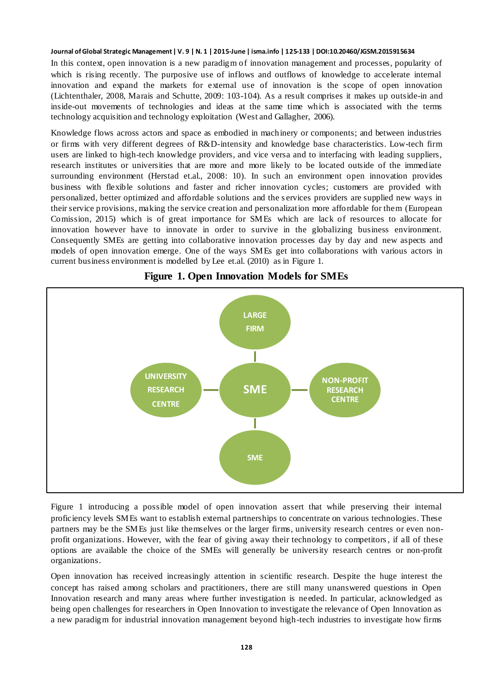In this context, open innovation is a new paradigm of innovation management and processes, popularity of which is rising recently. The purposive use of inflows and outflows of knowledge to accelerate internal innovation and expand the markets for external use of innovation is the scope of open innovation (Lichtenthaler, 2008, Marais and Schutte, 2009: 103-104). As a result comprises it makes up outside-in and inside-out movements of technologies and ideas at the same time which is associated with the terms technology acquisition and technology exploitation (West and Gallagher, 2006).

Knowledge flows across actors and space as embodied in machinery or components; and between industries or firms with very different degrees of R&D-intensity and knowledge base characteristics. Low-tech firm users are linked to high-tech knowledge providers, and vice versa and to interfacing with leading suppliers, research institutes or universities that are more and more likely to be located outside of the immediate surrounding environment (Herstad et.al., 2008: 10). In such an environment open innovation provides business with flexible solutions and faster and richer innovation cycles; customers are provided with personalized, better optimized and affordable solutions and the s ervices providers are supplied new ways in their service provisions, making the service creation and personalization more affordable for them (European Comission, 2015) which is of great importance for SMEs which are lack of resources to allocate for innovation however have to innovate in order to survive in the globalizing business environment. Consequently SMEs are getting into collaborative innovation processes day by day and new aspects and models of open innovation emerge. One of the ways SMEs get into collaborations with various actors in current business environment is modelled by Lee et.al. (2010) as in Figure 1.



**Figure 1. Open Innovation Models for SMEs**

Figure 1 introducing a possible model of open innovation assert that while preserving their internal proficiency levels SMEs want to establish external partnerships to concentrate on various technologies. These partners may be the SMEs just like themselves or the larger firms, university research centres or even nonprofit organizations. However, with the fear of giving away their technology to competitors, if all of these options are available the choice of the SMEs will generally be university research centres or non-profit organizations.

Open innovation has received increasingly attention in scientific research. Despite the huge interest the concept has raised among scholars and practitioners, there are still many unanswered questions in Open Innovation research and many areas where further investigation is needed. In particular, acknowledged as being open challenges for researchers in Open Innovation to investigate the relevance of Open Innovation as a new paradigm for industrial innovation management beyond high-tech industries to investigate how firms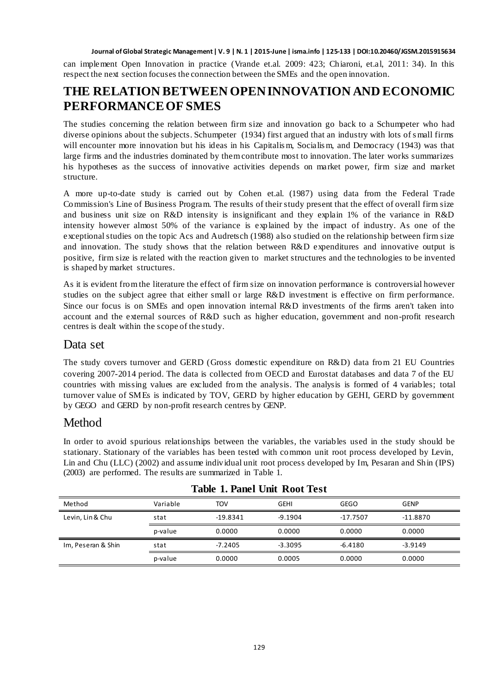can implement Open Innovation in practice (Vrande et.al. 2009: 423; Chiaroni, et.al, 2011: 34). In this respect the next section focuses the connection between the SMEs and the open innovation.

# **THE RELATION BETWEEN OPEN INNOVATION AND ECONOMIC PERFORMANCE OF SMES**

The studies concerning the relation between firm size and innovation go back to a Schumpeter who had diverse opinions about the subjects. Schumpeter (1934) first argued that an industry with lots of s mall firms will encounter more innovation but his ideas in his Capitalis m, Socialis m, and Democracy (1943) was that large firms and the industries dominated by them contribute most to innovation. The later works summarizes his hypotheses as the success of innovative activities depends on market power, firm size and market structure.

A more up-to-date study is carried out by Cohen et.al. (1987) using data from the Federal Trade Commission's Line of Business Program. The results of their study present that the effect of overall firm size and business unit size on R&D intensity is insignificant and they explain 1% of the variance in R&D intensity however almost 50% of the variance is explained by the impact of industry. As one of the exceptional studies on the topic Acs and Audretsch (1988) also studied on the relationship between firm size and innovation. The study shows that the relation between R&D expenditures and innovative output is positive, firm size is related with the reaction given to market structures and the technologies to be invented is shaped by market structures.

As it is evident from the literature the effect of firm size on innovation performance is controversial however studies on the subject agree that either small or large R&D investment is effective on firm performance. Since our focus is on SMEs and open innovation internal R&D investments of the firms aren't taken into account and the external sources of R&D such as higher education, government and non-profit research centres is dealt within the scope of the study.

### Data set

The study covers turnover and GERD (Gross domestic expenditure on R&D) data from 21 EU Countries covering 2007-2014 period. The data is collected from OECD and Eurostat databases and data 7 of the EU countries with missing values are excluded from the analysis. The analysis is formed of 4 variables; total turnover value of SMEs is indicated by TOV, GERD by higher education by GEHI, GERD by government by GEGO and GERD by non-profit research centres by GENP.

### Method

In order to avoid spurious relationships between the variables, the variables used in the study should be stationary. Stationary of the variables has been tested with common unit root process developed by Levin, Lin and Chu (LLC) (2002) and assume individual unit root process developed by Im, Pesaran and Shin (IPS) (2003) are performed. The results are summarized in Table 1.

| Method             | Variable | TOV        | GEHI      | <b>GEGO</b> | <b>GENP</b> |
|--------------------|----------|------------|-----------|-------------|-------------|
| Levin, Lin & Chu   | stat     | $-19.8341$ | $-9.1904$ | $-17.7507$  | $-11.8870$  |
|                    | p-value  | 0.0000     | 0.0000    | 0.0000      | 0.0000      |
| Im, Peseran & Shin | stat     | $-7.2405$  | $-3.3095$ | $-6.4180$   | $-3.9149$   |
|                    | p-value  | 0.0000     | 0.0005    | 0.0000      | 0.0000      |

### **Table 1. Panel Unit Root Test**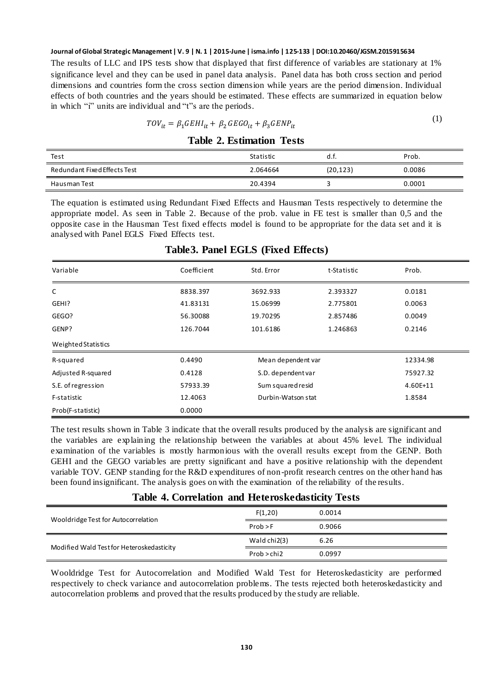The results of LLC and IPS tests show that displayed that first difference of variables are stationary at 1% significance level and they can be used in panel data analysis. Panel data has both cross section and period dimensions and countries form the cross section dimension while years are the period dimension. Individual effects of both countries and the years should be estimated. These effects are summarized in equation below in which "i" units are individual and "t"s are the periods.

$$
TOV_{it} = \beta_1 GEHI_{it} + \beta_2 GEGO_{it} + \beta_3 GENP_{it}
$$

 $(1)$ 

| <b>Table 2. Estimation Tests</b> |  |
|----------------------------------|--|
|----------------------------------|--|

| Test                         | Statistic | u.i.     | Prob.  |
|------------------------------|-----------|----------|--------|
| Redundant Fixed Effects Test | 2.064664  | (20,123) | 0.0086 |
| Hausman Test                 | 20.4394   |          | 0.0001 |

The equation is estimated using Redundant Fixed Effects and Hausman Tests respectively to determine the appropriate model. As seen in Table 2. Because of the prob. value in FE test is smaller than 0,5 and the opposite case in the Hausman Test fixed effects model is found to be appropriate for the data set and it is analysed with Panel EGLS Fixed Effects test.

| Variable            | Coefficient | Std. Error         | t-Statistic | Prob.    |
|---------------------|-------------|--------------------|-------------|----------|
| C                   | 8838.397    | 3692.933           | 2.393327    | 0.0181   |
| GEHI?               | 41.83131    | 15.06999           | 2.775801    | 0.0063   |
| GEGO?               | 56.30088    | 19.70295           | 2.857486    | 0.0049   |
| GENP?               | 126.7044    | 101.6186           | 1.246863    | 0.2146   |
| Weighted Statistics |             |                    |             |          |
| R-squared           | 0.4490      | Mean dependent var |             | 12334.98 |
| Adjusted R-squared  | 0.4128      | S.D. dependent var |             | 75927.32 |
| S.E. of regression  | 57933.39    | Sum squared resid  |             | 4.60E+11 |
| F-statistic         | 12.4063     | Durbin-Watson stat |             | 1.8584   |
| Prob(F-statistic)   | 0.0000      |                    |             |          |

### **Table3. Panel EGLS (Fixed Effects)**

The test results shown in Table 3 indicate that the overall results produced by the analysis are significant and the variables are explaining the relationship between the variables at about 45% level. The individual examination of the variables is mostly harmonious with the overall results except from the GENP. Both GEHI and the GEGO variables are pretty significant and have a positive relationship with the dependent variable TOV. GENP standing for the R&D expenditures of non-profit research centres on the other hand has been found insignificant. The analysis goes on with the examination of the reliability of the results.

#### **Table 4. Correlation and Heteroskedasticity Tests**

| Wooldridge Test for Autocorrelation       | F(1,20)      | 0.0014 |
|-------------------------------------------|--------------|--------|
|                                           | Prob > F     | 0.9066 |
| Modified Wald Test for Heteroskedasticity | Wald chi2(3) | 6.26   |
|                                           | Prob > chi2  | 0.0997 |

Wooldridge Test for Autocorrelation and Modified Wald Test for Heteroskedasticity are performed respectively to check variance and autocorrelation problems. The tests rejected both heteroskedasticity and autocorrelation problems and proved that the results produced by the study are reliable.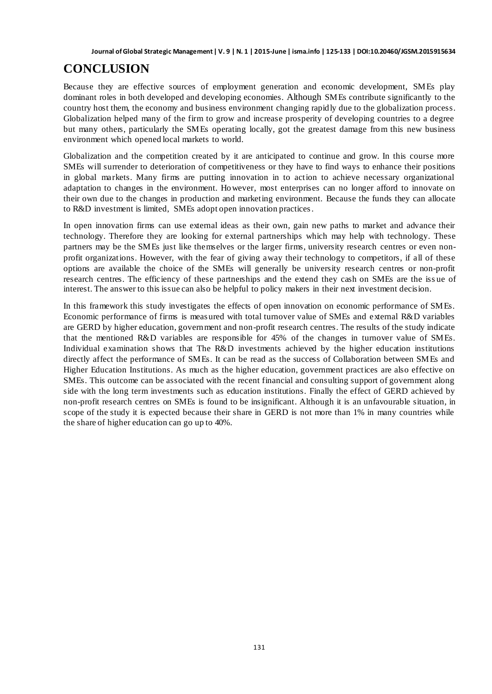# **CONCLUSION**

Because they are effective sources of employment generation and economic development, SMEs play dominant roles in both developed and developing economies. Although SMEs contribute significantly to the country host them, the economy and business environment changing rapidly due to the globalization process. Globalization helped many of the firm to grow and increase prosperity of developing countries to a degree but many others, particularly the SMEs operating locally, got the greatest damage from this new business environment which opened local markets to world.

Globalization and the competition created by it are anticipated to continue and grow. In this course more SMEs will surrender to deterioration of competitiveness or they have to find ways to enhance their positions in global markets. Many firms are putting innovation in to action to achieve necessary organizational adaptation to changes in the environment. However, most enterprises can no longer afford to innovate on their own due to the changes in production and marketing environment. Because the funds they can allocate to R&D investment is limited, SMEs adopt open innovation practices.

In open innovation firms can use external ideas as their own, gain new paths to market and advance their technology. Therefore they are looking for external partnerships which may help with technology. These partners may be the SMEs just like themselves or the larger firms, university research centres or even nonprofit organizations. However, with the fear of giving away their technology to competitors, if all of these options are available the choice of the SMEs will generally be university research centres or non-profit research centres. The efficiency of these partnerships and the extend they cash on SMEs are the iss ue of interest. The answer to this issue can also be helpful to policy makers in their next investment decision.

In this framework this study investigates the effects of open innovation on economic performance of SMEs. Economic performance of firms is measured with total turnover value of SMEs and external R&D variables are GERD by higher education, government and non-profit research centres. The results of the study indicate that the mentioned R&D variables are responsible for 45% of the changes in turnover value of SMEs. Individual examination shows that The R&D investments achieved by the higher education institutions directly affect the performance of SMEs. It can be read as the success of Collaboration between SMEs and Higher Education Institutions. As much as the higher education, government practices are also effective on SMEs. This outcome can be associated with the recent financial and consulting support of government along side with the long term investments such as education institutions. Finally the effect of GERD achieved by non-profit research centres on SMEs is found to be insignificant. Although it is an unfavourable situation, in scope of the study it is expected because their share in GERD is not more than 1% in many countries while the share of higher education can go up to 40%.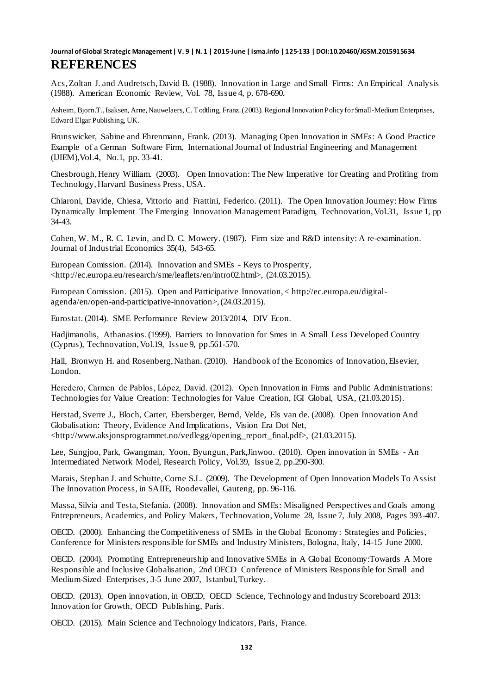Acs, Zoltan J. and Audretsch, David B. (1988). Innovation in Large and Small Firms: An Empirical Analysis (1988). American Economic Review, Vol. 78, Issue 4, p. 678-690.

Asheim, Bjorn.T., Isaksen, Arne, Nauwelaers, C. Todtling, Franz. (2003). Regional Innovation Policy for Small-Medium Enterprises, Edward Elgar Publishing, UK.

Brunswicker, Sabine and Ehrenmann, Frank. (2013). Managing Open Innovation in SMEs: A Good Practice Example of a German Software Firm, International Journal of Industrial Engineering and Management (IJIEM),Vol.4, No.1, pp. 33-41.

Chesbrough, Henry William. (2003). Open Innovation: The New Imperative for Creating and Profiting from Technology, Harvard Business Press, USA.

Chiaroni, Davide, Chiesa, Vittorio and Frattini, Federico. (2011). The Open Innovation Journey: How Firms Dynamically Implement The Emerging Innovation Management Paradigm, Technovation, Vol.31, Issue 1, pp 34-43.

Cohen, W. M., R. C. Levin, and D. C. Mowery. (1987). Firm size and R&D intensity: A re-examination. Journal of Industrial Economics 35(4), 543-65.

European Comission. (2014). Innovation and SMEs - Keys to Prosperity, <http://ec.europa.eu/research/sme/leaflets/en/intro02.html>, (24.03.2015).

European Comission. (2015). Open and Participative Innovation, < http://ec.europa.eu/digitalagenda/en/open-and-participative-innovation>, (24.03.2015).

Eurostat. (2014). SME Performance Review 2013/2014, DIV Econ.

Hadjimanolis, Athanasios. (1999). Barriers to Innovation for Smes in A Small Less Developed Country (Cyprus), Technovation, Vol.19, Issue 9, pp.561-570.

Hall, Bronwyn H. and Rosenberg, Nathan. (2010). Handbook of the Economics of Innovation, Elsevier, London.

Heredero, Carmen de Pablos, López, David. (2012). Open Innovation in Firms and Public Administrations: Technologies for Value Creation: Technologies for Value Creation, IGI Global, USA, (21.03.2015).

Herstad, Sverre J., Bloch, Carter, Ebersberger, Bernd, Velde, Els van de. (2008). Open Innovation And Globalisation: Theory, Evidence And Implications, Vision Era Dot Net, <http://www.aksjonsprogrammet.no/vedlegg/opening\_report\_final.pdf>, (21.03.2015).

Lee, Sungjoo, Park, Gwangman, Yoon, Byungun, Park,Jinwoo. (2010). Open innovation in SMEs - An Intermediated Network Model, Research Policy, Vol.39, Issue 2, pp.290-300.

Marais, Stephan J. and Schutte, Corne S.L. (2009). The Development of Open Innovation Models To Assist The Innovation Process, in SAIIE, Roodevallei, Gauteng, pp. 96-116.

Massa, Silvia and Testa, Stefania. (2008). Innovation and SMEs: Misaligned Perspectives and Goals among Entrepreneurs, Academics, and Policy Makers, Technovation, Volume 28, Issue 7, July 2008, Pages 393-407.

OECD. (2000). Enhancing the Competitiveness of SMEs in the Global Economy: Strategies and Policies, Conference for Ministers responsible for SMEs and Industry Ministers, Bologna, Italy, 14-15 June 2000.

OECD. (2004). Promoting Entrepreneurship and Innovative SMEs in A Global Economy:Towards A More Responsible and Inclusive Globalisation, 2nd OECD Conference of Ministers Responsible for Small and Medium-Sized Enterprises, 3-5 June 2007, Istanbul, Turkey.

OECD. (2013). Open innovation, in OECD, OECD Science, Technology and Industry Scoreboard 2013: Innovation for Growth, OECD Publishing, Paris.

OECD. (2015). Main Science and Technology Indicators, Paris, France.